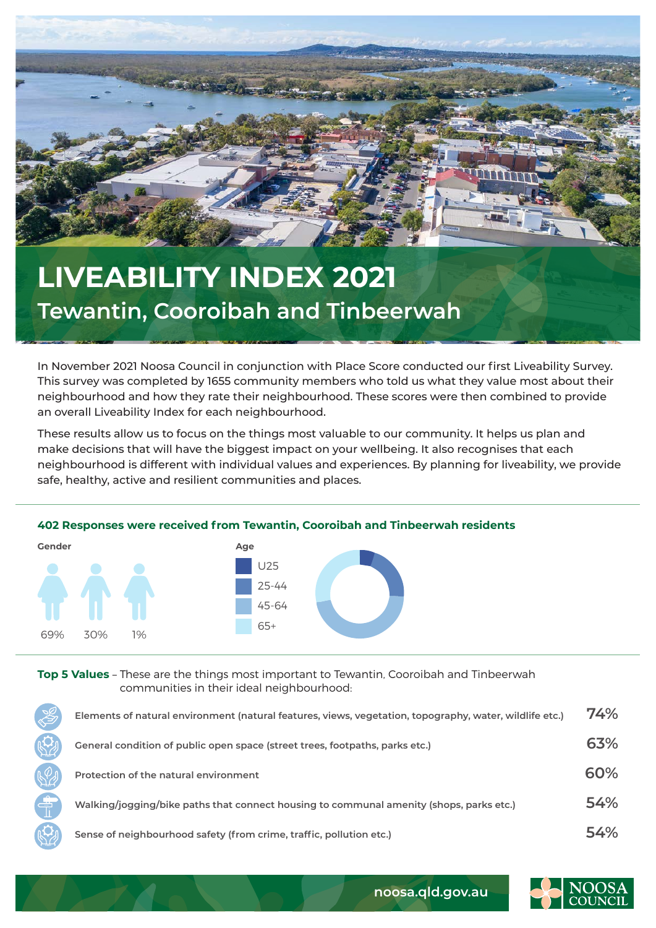

## **LIVEABILITY INDEX 2021 Tewantin, Cooroibah and Tinbeerwah**

In November 2021 Noosa Council in conjunction with Place Score conducted our first Liveability Survey. This survey was completed by 1655 community members who told us what they value most about their neighbourhood and how they rate their neighbourhood. These scores were then combined to provide an overall Liveability Index for each neighbourhood.

These results allow us to focus on the things most valuable to our community. It helps us plan and make decisions that will have the biggest impact on your wellbeing. It also recognises that each neighbourhood is different with individual values and experiences. By planning for liveability, we provide safe, healthy, active and resilient communities and places.

## **402 Responses were received from Tewantin, Cooroibah and Tinbeerwah residents**



**Top 5 Values** – These are the things most important to Tewantin, Cooroibah and Tinbeerwah communities in their ideal neighbourhood:

| $\frac{1}{2}$ | Elements of natural environment (natural features, views, vegetation, topography, water, wildlife etc.) | 74% |
|---------------|---------------------------------------------------------------------------------------------------------|-----|
|               | General condition of public open space (street trees, footpaths, parks etc.)                            | 63% |
|               | Protection of the natural environment                                                                   | 60% |
| Ë             | Walking/jogging/bike paths that connect housing to communal amenity (shops, parks etc.)                 | 54% |
|               | Sense of neighbourhood safety (from crime, traffic, pollution etc.)                                     | 54% |



**noosa.qld.gov.au**